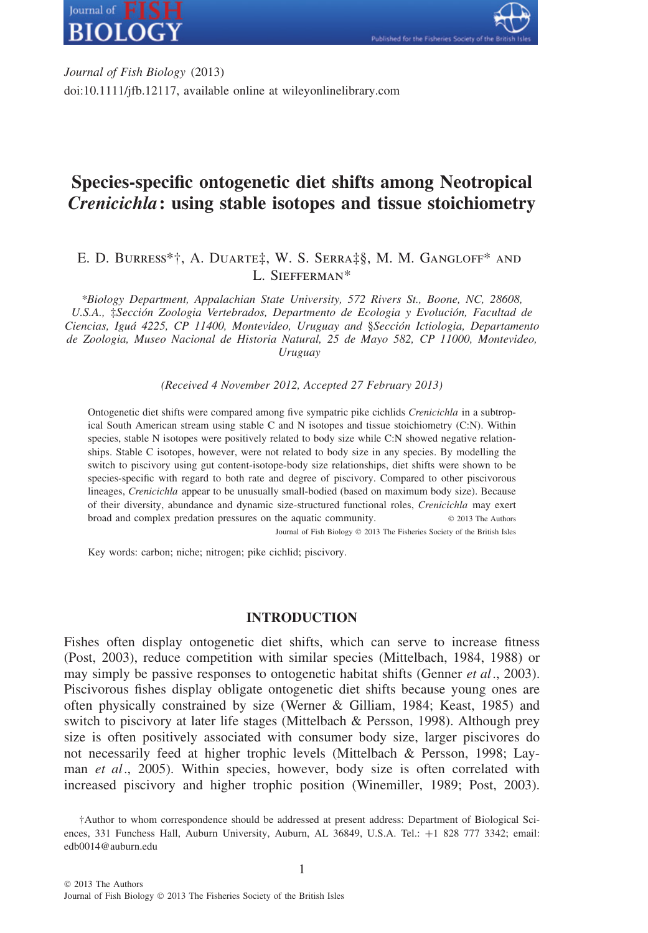



*Journal of Fish Biology* (2013) doi:10.1111/jfb.12117, available online at wileyonlinelibrary.com

# **Species-specific ontogenetic diet shifts among Neotropical** *Crenicichla***: using stable isotopes and tissue stoichiometry**

# E. D. Burress\*†, A. Duarte‡, W. S. Serra‡§, M. M. Gangloff\* and L. Siefferman\*

*\*Biology Department, Appalachian State University, 572 Rivers St., Boone, NC, 28608,* U.S.A., ‡Sección Zoologia Vertebrados, Departmento de Ecologia y Evolución, Facultad de *Ciencias, Igu´a 4225, CP 11400, Montevideo, Uruguay and* §*Secci ´on Ictiologia, Departamento de Zoologia, Museo Nacional de Historia Natural, 25 de Mayo 582, CP 11000, Montevideo, Uruguay*

*(Received 4 November 2012, Accepted 27 February 2013)*

Ontogenetic diet shifts were compared among five sympatric pike cichlids *Crenicichla* in a subtropical South American stream using stable C and N isotopes and tissue stoichiometry (C:N). Within species, stable N isotopes were positively related to body size while C:N showed negative relationships. Stable C isotopes, however, were not related to body size in any species. By modelling the switch to piscivory using gut content-isotope-body size relationships, diet shifts were shown to be species-specific with regard to both rate and degree of piscivory. Compared to other piscivorous lineages, *Crenicichla* appear to be unusually small-bodied (based on maximum body size). Because of their diversity, abundance and dynamic size-structured functional roles, *Crenicichla* may exert broad and complex predation pressures on the aquatic community. © 2013 The Authors Journal of Fish Biology © 2013 The Fisheries Society of the British Isles

Key words: carbon; niche; nitrogen; pike cichlid; piscivory.

## **INTRODUCTION**

Fishes often display ontogenetic diet shifts, which can serve to increase fitness (Post, 2003), reduce competition with similar species (Mittelbach, 1984, 1988) or may simply be passive responses to ontogenetic habitat shifts (Genner *et al*., 2003). Piscivorous fishes display obligate ontogenetic diet shifts because young ones are often physically constrained by size (Werner & Gilliam, 1984; Keast, 1985) and switch to piscivory at later life stages (Mittelbach & Persson, 1998). Although prey size is often positively associated with consumer body size, larger piscivores do not necessarily feed at higher trophic levels (Mittelbach & Persson, 1998; Layman *et al*., 2005). Within species, however, body size is often correlated with increased piscivory and higher trophic position (Winemiller, 1989; Post, 2003).

<sup>†</sup>Author to whom correspondence should be addressed at present address: Department of Biological Sciences, 331 Funchess Hall, Auburn University, Auburn, AL 36849, U.S.A. Tel.: +1 828 777 3342; email: edb0014@auburn.edu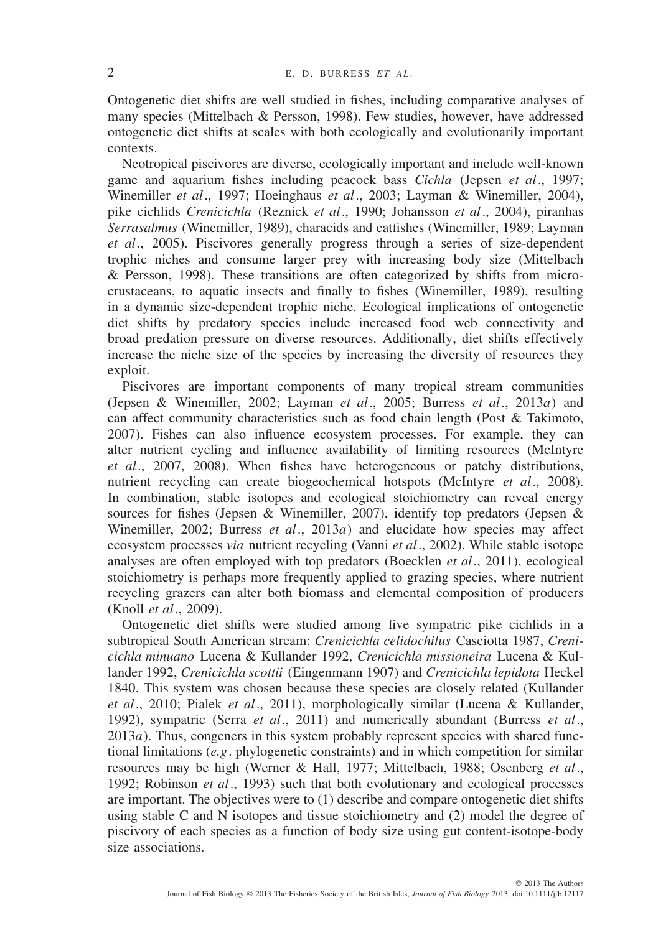Ontogenetic diet shifts are well studied in fishes, including comparative analyses of many species (Mittelbach & Persson, 1998). Few studies, however, have addressed ontogenetic diet shifts at scales with both ecologically and evolutionarily important contexts.

Neotropical piscivores are diverse, ecologically important and include well-known game and aquarium fishes including peacock bass *Cichla* (Jepsen *et al*., 1997; Winemiller *et al*., 1997; Hoeinghaus *et al*., 2003; Layman & Winemiller, 2004), pike cichlids *Crenicichla* (Reznick *et al*., 1990; Johansson *et al*., 2004), piranhas *Serrasalmus* (Winemiller, 1989), characids and catfishes (Winemiller, 1989; Layman *et al*., 2005). Piscivores generally progress through a series of size-dependent trophic niches and consume larger prey with increasing body size (Mittelbach & Persson, 1998). These transitions are often categorized by shifts from microcrustaceans, to aquatic insects and finally to fishes (Winemiller, 1989), resulting in a dynamic size-dependent trophic niche. Ecological implications of ontogenetic diet shifts by predatory species include increased food web connectivity and broad predation pressure on diverse resources. Additionally, diet shifts effectively increase the niche size of the species by increasing the diversity of resources they exploit.

Piscivores are important components of many tropical stream communities (Jepsen & Winemiller, 2002; Layman *et al*., 2005; Burress *et al*., 2013*a*) and can affect community characteristics such as food chain length (Post & Takimoto, 2007). Fishes can also influence ecosystem processes. For example, they can alter nutrient cycling and influence availability of limiting resources (McIntyre *et al*., 2007, 2008). When fishes have heterogeneous or patchy distributions, nutrient recycling can create biogeochemical hotspots (McIntyre *et al*., 2008). In combination, stable isotopes and ecological stoichiometry can reveal energy sources for fishes (Jepsen & Winemiller, 2007), identify top predators (Jepsen & Winemiller, 2002; Burress *et al*., 2013*a*) and elucidate how species may affect ecosystem processes *via* nutrient recycling (Vanni *et al*., 2002). While stable isotope analyses are often employed with top predators (Boecklen *et al*., 2011), ecological stoichiometry is perhaps more frequently applied to grazing species, where nutrient recycling grazers can alter both biomass and elemental composition of producers (Knoll *et al*., 2009).

Ontogenetic diet shifts were studied among five sympatric pike cichlids in a subtropical South American stream: *Crenicichla celidochilus* Casciotta 1987, *Crenicichla minuano* Lucena & Kullander 1992, *Crenicichla missioneira* Lucena & Kullander 1992, *Crenicichla scottii* (Eingenmann 1907) and *Crenicichla lepidota* Heckel 1840. This system was chosen because these species are closely related (Kullander *et al*., 2010; Pialek *et al*., 2011), morphologically similar (Lucena & Kullander, 1992), sympatric (Serra *et al*., 2011) and numerically abundant (Burress *et al*., 2013*a*). Thus, congeners in this system probably represent species with shared functional limitations (*e.g*. phylogenetic constraints) and in which competition for similar resources may be high (Werner & Hall, 1977; Mittelbach, 1988; Osenberg *et al*., 1992; Robinson *et al*., 1993) such that both evolutionary and ecological processes are important. The objectives were to (1) describe and compare ontogenetic diet shifts using stable C and N isotopes and tissue stoichiometry and (2) model the degree of piscivory of each species as a function of body size using gut content-isotope-body size associations.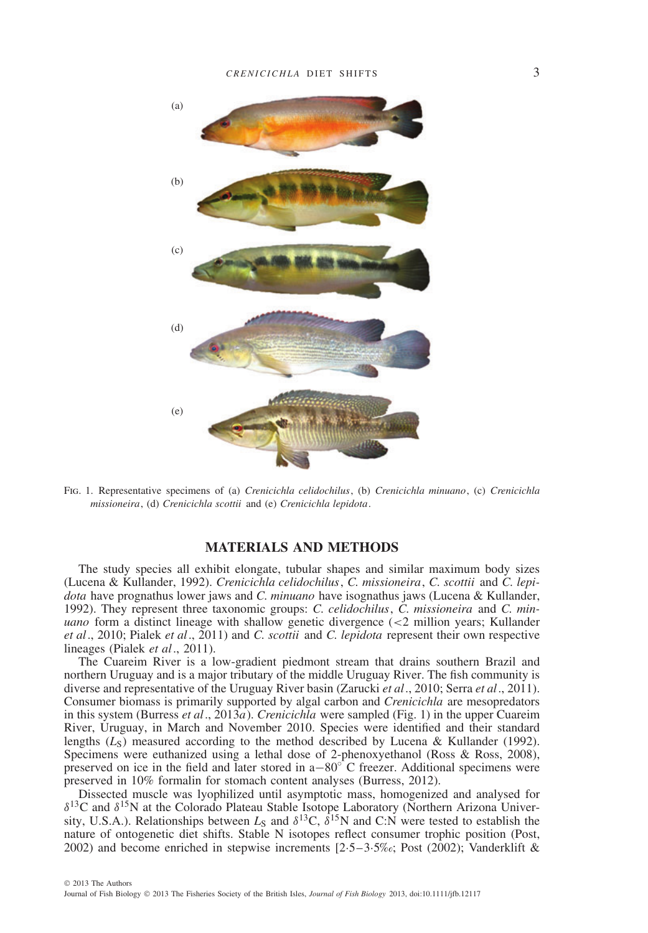

Fig. 1. Representative specimens of (a) *Crenicichla celidochilus*, (b) *Crenicichla minuano*, (c) *Crenicichla missioneira*, (d) *Crenicichla scottii* and (e) *Crenicichla lepidota*.

#### **MATERIALS AND METHODS**

The study species all exhibit elongate, tubular shapes and similar maximum body sizes (Lucena & Kullander, 1992). *Crenicichla celidochilus*, *C. missioneira*, *C. scottii* and *C. lepidota* have prognathus lower jaws and *C. minuano* have isognathus jaws (Lucena & Kullander, 1992). They represent three taxonomic groups: *C. celidochilus*, *C. missioneira* and *C. minuano* form a distinct lineage with shallow genetic divergence (*<*2 million years; Kullander *et al*., 2010; Pialek *et al*., 2011) and *C. scottii* and *C. lepidota* represent their own respective lineages (Pialek *et al*., 2011).

The Cuareim River is a low-gradient piedmont stream that drains southern Brazil and northern Uruguay and is a major tributary of the middle Uruguay River. The fish community is diverse and representative of the Uruguay River basin (Zarucki *et al*., 2010; Serra *et al*., 2011). Consumer biomass is primarily supported by algal carbon and *Crenicichla* are mesopredators in this system (Burress *et al*., 2013*a*). *Crenicichla* were sampled (Fig. 1) in the upper Cuareim River, Uruguay, in March and November 2010. Species were identified and their standard lengths  $(L<sub>S</sub>)$  measured according to the method described by Lucena & Kullander (1992). Specimens were euthanized using a lethal dose of 2-phenoxyethanol (Ross & Ross, 2008), preserved on ice in the field and later stored in a $-80^\circ$  C freezer. Additional specimens were preserved in 10% formalin for stomach content analyses (Burress, 2012).

Dissected muscle was lyophilized until asymptotic mass, homogenized and analysed for *δ*13C and *δ*15N at the Colorado Plateau Stable Isotope Laboratory (Northern Arizona University, U.S.A.). Relationships between *L*<sup>S</sup> and *δ*13C, *δ*15N and C:N were tested to establish the nature of ontogenetic diet shifts. Stable N isotopes reflect consumer trophic position (Post, 2002) and become enriched in stepwise increments  $[2.5-3.5\%c, Post (2002);$  Vanderklift &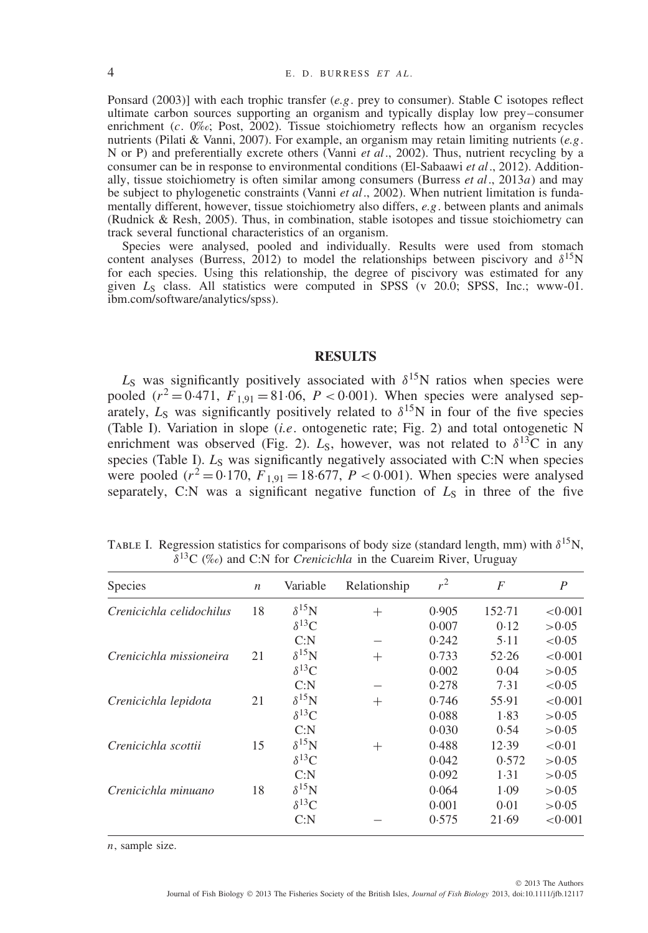Ponsard (2003)] with each trophic transfer (*e.g*. prey to consumer). Stable C isotopes reflect ultimate carbon sources supporting an organism and typically display low prey–consumer enrichment (*c*. 0‰; Post, 2002). Tissue stoichiometry reflects how an organism recycles nutrients (Pilati & Vanni, 2007). For example, an organism may retain limiting nutrients (*e.g*. N or P) and preferentially excrete others (Vanni *et al*., 2002). Thus, nutrient recycling by a consumer can be in response to environmental conditions (El-Sabaawi *et al*., 2012). Additionally, tissue stoichiometry is often similar among consumers (Burress *et al*., 2013*a*) and may be subject to phylogenetic constraints (Vanni *et al*., 2002). When nutrient limitation is fundamentally different, however, tissue stoichiometry also differs, *e.g*. between plants and animals (Rudnick & Resh, 2005). Thus, in combination, stable isotopes and tissue stoichiometry can track several functional characteristics of an organism.

Species were analysed, pooled and individually. Results were used from stomach content analyses (Burress, 2012) to model the relationships between piscivory and *δ*15N for each species. Using this relationship, the degree of piscivory was estimated for any given *L*<sup>S</sup> class. All statistics were computed in SPSS (v 20.0; SPSS, Inc.; www-01. ibm.com/software/analytics/spss).

### **RESULTS**

 $L<sub>S</sub>$  was significantly positively associated with  $\delta^{15}$ N ratios when species were pooled  $(r^2 = 0.471, F_{1,91} = 81.06, P < 0.001)$ . When species were analysed separately,  $L_S$  was significantly positively related to  $\delta^{15}$ N in four of the five species (Table I). Variation in slope (*i.e*. ontogenetic rate; Fig. 2) and total ontogenetic N enrichment was observed (Fig. 2).  $L_s$ , however, was not related to  $\delta^{13}C$  in any species (Table I). *L<sub>S</sub>* was significantly negatively associated with C:N when species were pooled ( $r^2 = 0.170$ ,  $F_{1,91} = 18.677$ ,  $P < 0.001$ ). When species were analysed separately, C:N was a significant negative function of  $L<sub>S</sub>$  in three of the five

Table I. Regression statistics for comparisons of body size (standard length, mm) with *δ*15N, *δ*13C (‰) and C:N for *Crenicichla* in the Cuareim River, Uruguay

| <b>Species</b>           | $\boldsymbol{n}$ | Variable        | Relationship | $r^2$ | $\overline{F}$ | $\boldsymbol{P}$ |
|--------------------------|------------------|-----------------|--------------|-------|----------------|------------------|
| Crenicichla celidochilus | 18               | $\delta^{15}N$  | $^{+}$       | 0.905 | 152.71         | < 0.001          |
|                          |                  | $\delta^{13}C$  |              | 0.007 | 0.12           | >0.05            |
|                          |                  | C: N            |              | 0.242 | 5.11           | < 0.05           |
| Crenicichla missioneira  | 21               | $\delta^{15}$ N | $^{+}$       | 0.733 | 52.26          | < 0.001          |
|                          |                  | $\delta^{13}C$  |              | 0.002 | 0.04           | >0.05            |
|                          |                  | C: N            |              | 0.278 | 7.31           | < 0.05           |
| Crenicichla lepidota     | 21               | $\delta^{15}N$  | $^{+}$       | 0.746 | 55.91          | < 0.001          |
|                          |                  | $\delta^{13}C$  |              | 0.088 | 1.83           | > 0.05           |
|                          |                  | C: N            |              | 0.030 | 0.54           | >0.05            |
| Crenicichla scottii      | 15               | $\delta^{15}N$  | $^{+}$       | 0.488 | 12.39          | < 0.01           |
|                          |                  | $\delta^{13}C$  |              | 0.042 | 0.572          | >0.05            |
|                          |                  | C: N            |              | 0.092 | 1.31           | >0.05            |
| Crenicichla minuano      | 18               | $\delta^{15}N$  |              | 0.064 | 1.09           | >0.05            |
|                          |                  | $\delta^{13}C$  |              | 0.001 | 0.01           | >0.05            |
|                          |                  | C: N            |              | 0.575 | 21.69          | < 0.001          |

*n*, sample size.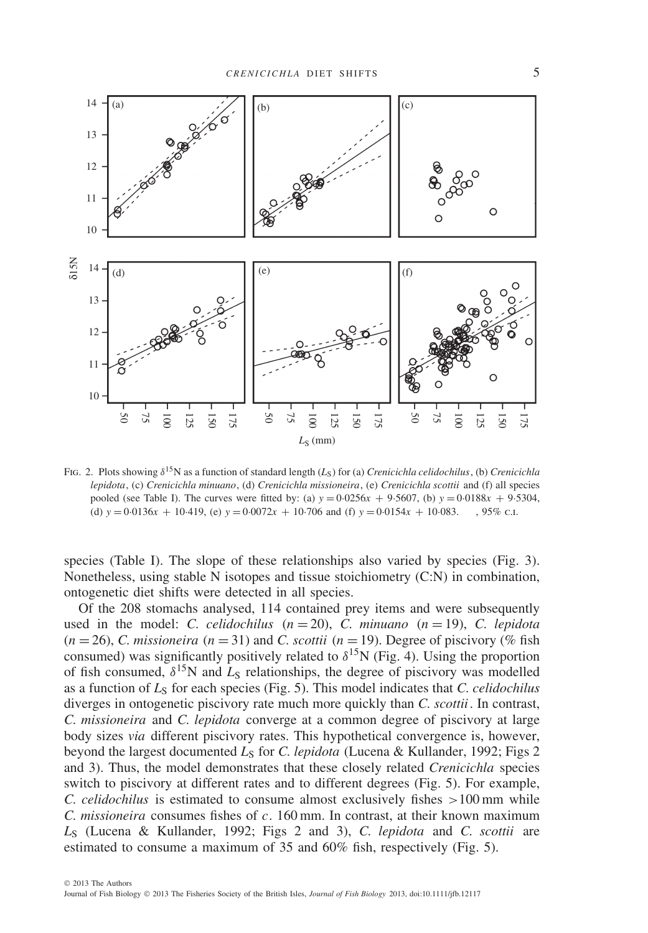

Fig. 2. Plots showing *δ*15N as a function of standard length (*L*S) for (a) *Crenicichla celidochilus*, (b) *Crenicichla lepidota*, (c) *Crenicichla minuano*, (d) *Crenicichla missioneira*, (e) *Crenicichla scottii* and (f) all species pooled (see Table I). The curves were fitted by: (a)  $y = 0.0256x + 9.5607$ , (b)  $y = 0.0188x + 9.5304$ , (d)  $y = 0.0136x + 10.419$ , (e)  $y = 0.0072x + 10.706$  and (f)  $y = 0.0154x + 10.083$ . ......, 95% c.l.

species (Table I). The slope of these relationships also varied by species (Fig. 3). Nonetheless, using stable N isotopes and tissue stoichiometry (C:N) in combination, ontogenetic diet shifts were detected in all species.

Of the 208 stomachs analysed, 114 contained prey items and were subsequently used in the model: *C. celidochilus*  $(n = 20)$ , *C. minuano*  $(n = 19)$ , *C. lepidota*  $(n = 26)$ , *C. missioneira*  $(n = 31)$  and *C. scottii*  $(n = 19)$ . Degree of piscivory (% fish) consumed) was significantly positively related to  $\delta^{15}$ N (Fig. 4). Using the proportion of fish consumed,  $\delta^{15}N$  and  $L_S$  relationships, the degree of piscivory was modelled as a function of *L*<sup>S</sup> for each species (Fig. 5). This model indicates that *C. celidochilus* diverges in ontogenetic piscivory rate much more quickly than *C. scottii*. In contrast, *C. missioneira* and *C. lepidota* converge at a common degree of piscivory at large body sizes *via* different piscivory rates. This hypothetical convergence is, however, beyond the largest documented *L<sub>S</sub>* for *C. lepidota* (Lucena & Kullander, 1992; Figs 2 and 3). Thus, the model demonstrates that these closely related *Crenicichla* species switch to piscivory at different rates and to different degrees (Fig. 5). For example, *C. celidochilus* is estimated to consume almost exclusively fishes *>*100 mm while *C. missioneira* consumes fishes of *c*. 160 mm. In contrast, at their known maximum *L*<sup>S</sup> (Lucena & Kullander, 1992; Figs 2 and 3), *C. lepidota* and *C. scottii* are estimated to consume a maximum of 35 and 60% fish, respectively (Fig. 5).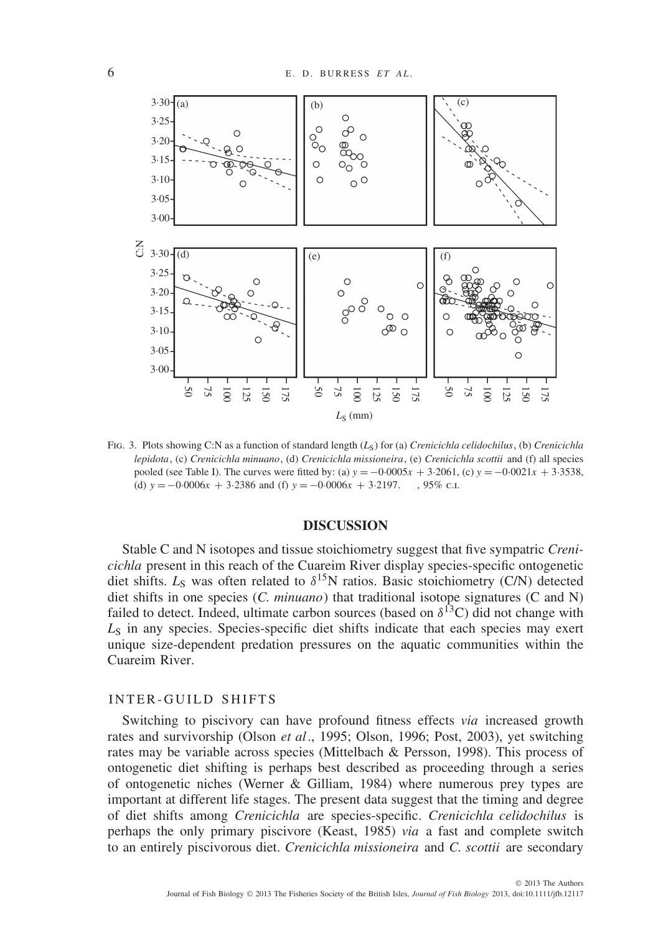

Fig. 3. Plots showing C:N as a function of standard length (*L*S) for (a) *Crenicichla celidochilus*, (b) *Crenicichla lepidota*, (c) *Crenicichla minuano*, (d) *Crenicichla missioneira*, (e) *Crenicichla scottii* and (f) all species pooled (see Table I). The curves were fitted by: (a)  $y = -0.0005x + 3.2061$ , (c)  $y = -0.0021x + 3.3538$ , (d)  $y = -0.0006x + 3.2386$  and (f)  $y = -0.0006x + 3.2197$ . , 95% c.u.

### **DISCUSSION**

Stable C and N isotopes and tissue stoichiometry suggest that five sympatric *Crenicichla* present in this reach of the Cuareim River display species-specific ontogenetic diet shifts.  $L_S$  was often related to  $\delta^{15}N$  ratios. Basic stoichiometry (C/N) detected diet shifts in one species (*C. minuano*) that traditional isotope signatures (C and N) failed to detect. Indeed, ultimate carbon sources (based on  $\delta^{13}$ C) did not change with L<sub>S</sub> in any species. Species-specific diet shifts indicate that each species may exert unique size-dependent predation pressures on the aquatic communities within the Cuareim River.

#### INTER-GUILD SHIFTS

Switching to piscivory can have profound fitness effects *via* increased growth rates and survivorship (Olson *et al*., 1995; Olson, 1996; Post, 2003), yet switching rates may be variable across species (Mittelbach & Persson, 1998). This process of ontogenetic diet shifting is perhaps best described as proceeding through a series of ontogenetic niches (Werner & Gilliam, 1984) where numerous prey types are important at different life stages. The present data suggest that the timing and degree of diet shifts among *Crenicichla* are species-specific. *Crenicichla celidochilus* is perhaps the only primary piscivore (Keast, 1985) *via* a fast and complete switch to an entirely piscivorous diet. *Crenicichla missioneira* and *C. scottii* are secondary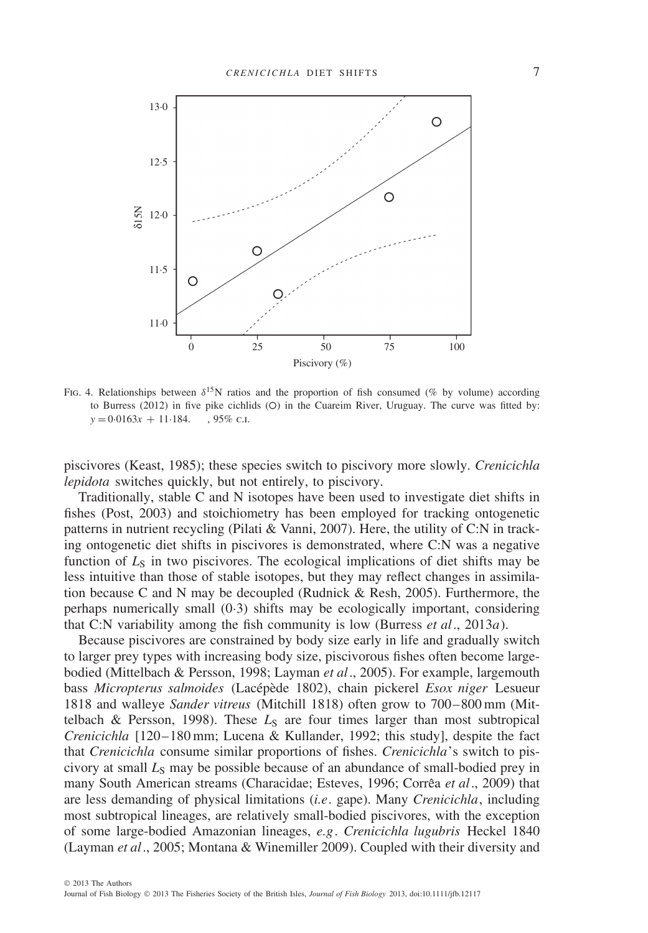

Fig. 4. Relationships between *δ*15N ratios and the proportion of fish consumed (% by volume) according to Burress (2012) in five pike cichlids ( $O$ ) in the Cuareim River, Uruguay. The curve was fitted by:  $y = 0.0163x + 11.184$ . ......, 95% c.f.

piscivores (Keast, 1985); these species switch to piscivory more slowly. *Crenicichla lepidota* switches quickly, but not entirely, to piscivory.

Traditionally, stable C and N isotopes have been used to investigate diet shifts in fishes (Post, 2003) and stoichiometry has been employed for tracking ontogenetic patterns in nutrient recycling (Pilati & Vanni, 2007). Here, the utility of C:N in tracking ontogenetic diet shifts in piscivores is demonstrated, where C:N was a negative function of  $L<sub>S</sub>$  in two piscivores. The ecological implications of diet shifts may be less intuitive than those of stable isotopes, but they may reflect changes in assimilation because C and N may be decoupled (Rudnick & Resh, 2005). Furthermore, the perhaps numerically small (0·3) shifts may be ecologically important, considering that C:N variability among the fish community is low (Burress *et al*., 2013*a*).

Because piscivores are constrained by body size early in life and gradually switch to larger prey types with increasing body size, piscivorous fishes often become largebodied (Mittelbach & Persson, 1998; Layman *et al*., 2005). For example, largemouth bass *Micropterus salmoides* (Lacépède 1802), chain pickerel *Esox niger* Lesueur 1818 and walleye *Sander vitreus* (Mitchill 1818) often grow to 700–800 mm (Mittelbach & Persson, 1998). These  $L<sub>S</sub>$  are four times larger than most subtropical *Crenicichla* [120–180 mm; Lucena & Kullander, 1992; this study], despite the fact that *Crenicichla* consume similar proportions of fishes. *Crenicichla*'s switch to piscivory at small *L<sub>S</sub>* may be possible because of an abundance of small-bodied prey in many South American streams (Characidae; Esteves, 1996; Corrêa et al., 2009) that are less demanding of physical limitations (*i.e*. gape). Many *Crenicichla*, including most subtropical lineages, are relatively small-bodied piscivores, with the exception of some large-bodied Amazonian lineages, *e.g*. *Crenicichla lugubris* Heckel 1840 (Layman *et al*., 2005; Montana & Winemiller 2009). Coupled with their diversity and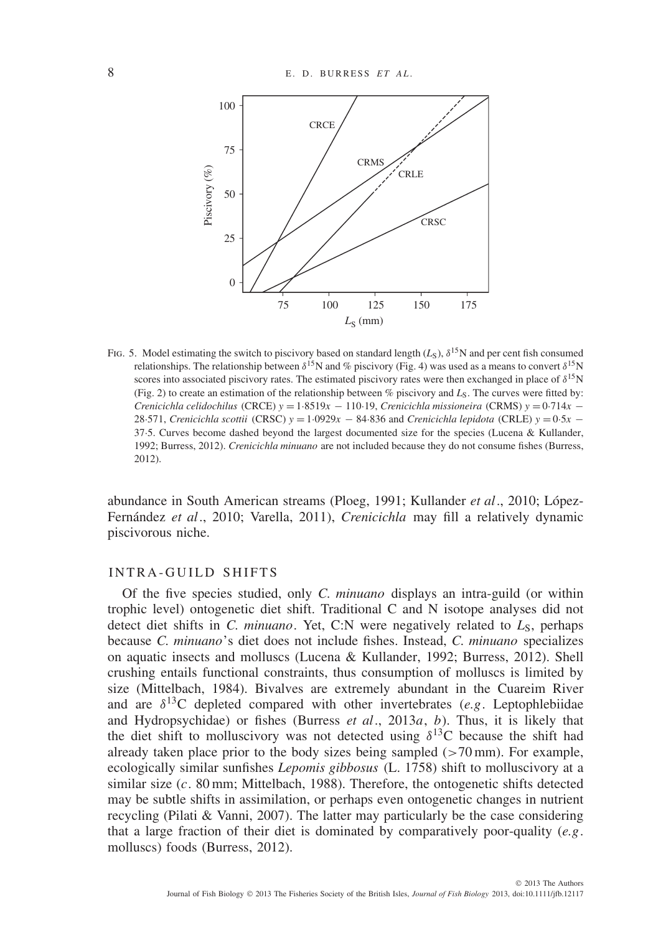

FIG. 5. Model estimating the switch to piscivory based on standard length  $(L<sub>S</sub>)$ ,  $\delta^{15}N$  and per cent fish consumed relationships. The relationship between  $\delta^{15}N$  and % piscivory (Fig. 4) was used as a means to convert  $\delta^{15}N$ scores into associated piscivory rates. The estimated piscivory rates were then exchanged in place of *δ*15N (Fig. 2) to create an estimation of the relationship between  $\%$  piscivory and  $L_S$ . The curves were fitted by: *Crenicichla celidochilus* (CRCE) *y* = 1·8519*x* − 110·19, *Crenicichla missioneira* (CRMS) *y* = 0·714*x* − 28·571, *Crenicichla scottii* (CRSC) *y* = 1·0929*x* − 84·836 and *Crenicichla lepidota* (CRLE) *y* = 0·5*x* − 37·5. Curves become dashed beyond the largest documented size for the species (Lucena & Kullander, 1992; Burress, 2012). *Crenicichla minuano* are not included because they do not consume fishes (Burress, 2012).

abundance in South American streams (Ploeg, 1991; Kullander *et al*., 2010; Lopez- ´ Fernández et al., 2010; Varella, 2011), *Crenicichla* may fill a relatively dynamic piscivorous niche.

#### INTRA-GUILD SHIFTS

Of the five species studied, only *C. minuano* displays an intra-guild (or within trophic level) ontogenetic diet shift. Traditional C and N isotope analyses did not detect diet shifts in *C. minuano*. Yet, C:N were negatively related to  $L_s$ , perhaps because *C. minuano*'s diet does not include fishes. Instead, *C. minuano* specializes on aquatic insects and molluscs (Lucena & Kullander, 1992; Burress, 2012). Shell crushing entails functional constraints, thus consumption of molluscs is limited by size (Mittelbach, 1984). Bivalves are extremely abundant in the Cuareim River and are  $\delta^{13}$ C depleted compared with other invertebrates (*e.g.* Leptophlebiidae and Hydropsychidae) or fishes (Burress *et al*., 2013*a*, *b*). Thus, it is likely that the diet shift to molluscivory was not detected using  $\delta^{13}$ C because the shift had already taken place prior to the body sizes being sampled (*>*70 mm). For example, ecologically similar sunfishes *Lepomis gibbosus* (L. 1758) shift to molluscivory at a similar size (*c*. 80 mm; Mittelbach, 1988). Therefore, the ontogenetic shifts detected may be subtle shifts in assimilation, or perhaps even ontogenetic changes in nutrient recycling (Pilati & Vanni, 2007). The latter may particularly be the case considering that a large fraction of their diet is dominated by comparatively poor-quality (*e.g*. molluscs) foods (Burress, 2012).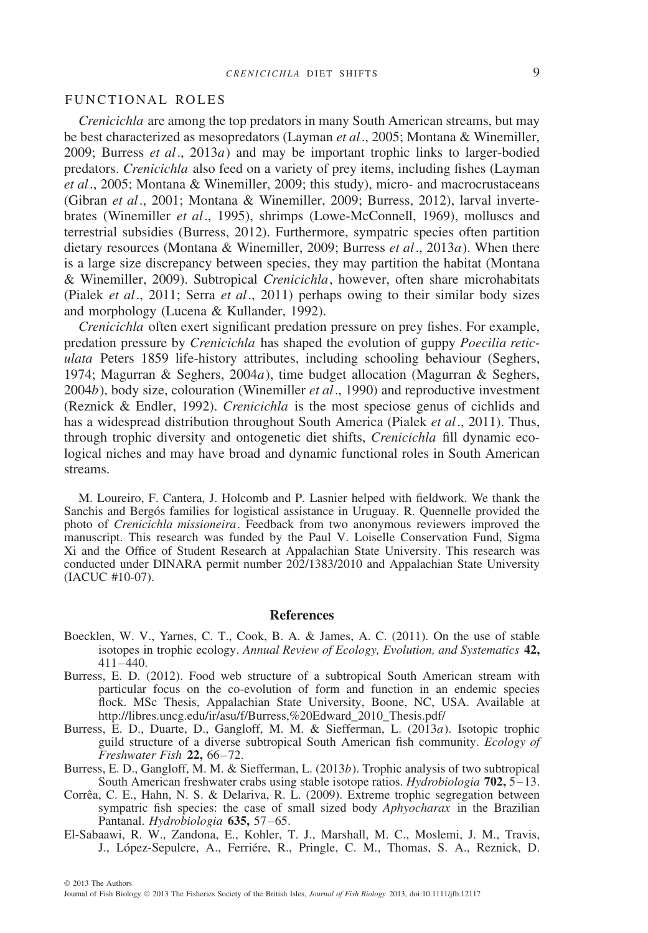#### FUNCTIONAL ROLES

*Crenicichla* are among the top predators in many South American streams, but may be best characterized as mesopredators (Layman *et al*., 2005; Montana & Winemiller, 2009; Burress *et al*., 2013*a*) and may be important trophic links to larger-bodied predators. *Crenicichla* also feed on a variety of prey items, including fishes (Layman *et al*., 2005; Montana & Winemiller, 2009; this study), micro- and macrocrustaceans (Gibran *et al*., 2001; Montana & Winemiller, 2009; Burress, 2012), larval invertebrates (Winemiller *et al*., 1995), shrimps (Lowe-McConnell, 1969), molluscs and terrestrial subsidies (Burress, 2012). Furthermore, sympatric species often partition dietary resources (Montana & Winemiller, 2009; Burress *et al*., 2013*a*). When there is a large size discrepancy between species, they may partition the habitat (Montana & Winemiller, 2009). Subtropical *Crenicichla*, however, often share microhabitats (Pialek *et al*., 2011; Serra *et al*., 2011) perhaps owing to their similar body sizes and morphology (Lucena & Kullander, 1992).

*Crenicichla* often exert significant predation pressure on prey fishes. For example, predation pressure by *Crenicichla* has shaped the evolution of guppy *Poecilia reticulata* Peters 1859 life-history attributes, including schooling behaviour (Seghers, 1974; Magurran & Seghers, 2004*a*), time budget allocation (Magurran & Seghers, 2004*b*), body size, colouration (Winemiller *et al*., 1990) and reproductive investment (Reznick & Endler, 1992). *Crenicichla* is the most speciose genus of cichlids and has a widespread distribution throughout South America (Pialek *et al*., 2011). Thus, through trophic diversity and ontogenetic diet shifts, *Crenicichla* fill dynamic ecological niches and may have broad and dynamic functional roles in South American streams.

M. Loureiro, F. Cantera, J. Holcomb and P. Lasnier helped with fieldwork. We thank the Sanchis and Bergos families for logistical assistance in Uruguay. R. Quennelle provided the photo of *Crenicichla missioneira*. Feedback from two anonymous reviewers improved the manuscript. This research was funded by the Paul V. Loiselle Conservation Fund, Sigma Xi and the Office of Student Research at Appalachian State University. This research was conducted under DINARA permit number 202/1383/2010 and Appalachian State University (IACUC #10-07).

#### **References**

- Boecklen, W. V., Yarnes, C. T., Cook, B. A. & James, A. C. (2011). On the use of stable isotopes in trophic ecology. *Annual Review of Ecology, Evolution, and Systematics* **42,** 411–440.
- Burress, E. D. (2012). Food web structure of a subtropical South American stream with particular focus on the co-evolution of form and function in an endemic species flock. MSc Thesis, Appalachian State University, Boone, NC, USA. Available at http://libres.uncg.edu/ir/asu/f/Burress,%20Edward\_2010\_Thesis.pdf/
- Burress, E. D., Duarte, D., Gangloff, M. M. & Siefferman, L. (2013*a*). Isotopic trophic guild structure of a diverse subtropical South American fish community. *Ecology of Freshwater Fish* **22,** 66–72.
- Burress, E. D., Gangloff, M. M. & Siefferman, L. (2013*b*). Trophic analysis of two subtropical South American freshwater crabs using stable isotope ratios. *Hydrobiologia* **702,** 5–13.
- Corrêa, C. E., Hahn, N. S. & Delariva, R. L. (2009). Extreme trophic segregation between sympatric fish species: the case of small sized body *Aphyocharax* in the Brazilian Pantanal. *Hydrobiologia* **635,** 57–65.
- El-Sabaawi, R. W., Zandona, E., Kohler, T. J., Marshall, M. C., Moslemi, J. M., Travis, J., López-Sepulcre, A., Ferriére, R., Pringle, C. M., Thomas, S. A., Reznick, D.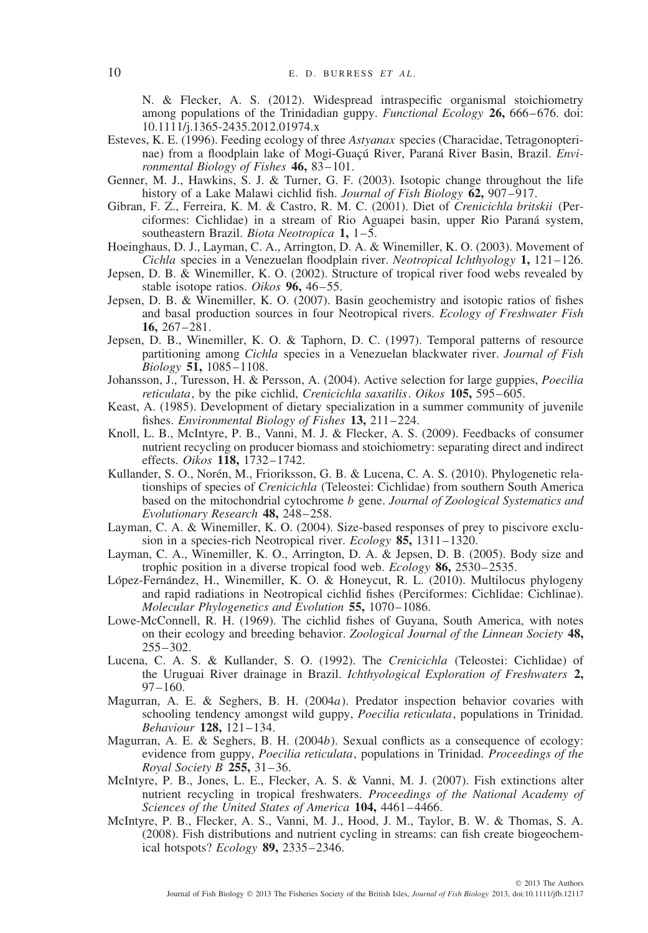N. & Flecker, A. S. (2012). Widespread intraspecific organismal stoichiometry among populations of the Trinidadian guppy. *Functional Ecology* **26,** 666–676. doi: 10.1111/j.1365-2435.2012.01974.x

- Esteves, K. E. (1996). Feeding ecology of three *Astyanax* species (Characidae, Tetragonopterinae) from a floodplain lake of Mogi-Guaçú River, Paraná River Basin, Brazil. Envi*ronmental Biology of Fishes* **46,** 83–101.
- Genner, M. J., Hawkins, S. J. & Turner, G. F. (2003). Isotopic change throughout the life history of a Lake Malawi cichlid fish. *Journal of Fish Biology* **62,** 907–917.
- Gibran, F. Z., Ferreira, K. M. & Castro, R. M. C. (2001). Diet of *Crenicichla britskii* (Perciformes: Cichlidae) in a stream of Rio Aguapei basin, upper Rio Parana system, ´ southeastern Brazil. *Biota Neotropica* **1,** 1–5.
- Hoeinghaus, D. J., Layman, C. A., Arrington, D. A. & Winemiller, K. O. (2003). Movement of *Cichla* species in a Venezuelan floodplain river. *Neotropical Ichthyology* **1,** 121–126.
- Jepsen, D. B. & Winemiller, K. O. (2002). Structure of tropical river food webs revealed by stable isotope ratios. *Oikos* **96,** 46–55.
- Jepsen, D. B. & Winemiller, K. O. (2007). Basin geochemistry and isotopic ratios of fishes and basal production sources in four Neotropical rivers. *Ecology of Freshwater Fish* **16,** 267–281.
- Jepsen, D. B., Winemiller, K. O. & Taphorn, D. C. (1997). Temporal patterns of resource partitioning among *Cichla* species in a Venezuelan blackwater river. *Journal of Fish Biology* **51,** 1085–1108.
- Johansson, J., Turesson, H. & Persson, A. (2004). Active selection for large guppies, *Poecilia reticulata*, by the pike cichlid, *Crenicichla saxatilis*. *Oikos* **105,** 595–605.
- Keast, A. (1985). Development of dietary specialization in a summer community of juvenile fishes. *Environmental Biology of Fishes* **13,** 211–224.
- Knoll, L. B., McIntyre, P. B., Vanni, M. J. & Flecker, A. S. (2009). Feedbacks of consumer nutrient recycling on producer biomass and stoichiometry: separating direct and indirect effects. *Oikos* **118,** 1732–1742.
- Kullander, S. O., Norén, M., Frioriksson, G. B. & Lucena, C. A. S. (2010). Phylogenetic relationships of species of *Crenicichla* (Teleostei: Cichlidae) from southern South America based on the mitochondrial cytochrome *b* gene. *Journal of Zoological Systematics and Evolutionary Research* **48,** 248–258.
- Layman, C. A. & Winemiller, K. O. (2004). Size-based responses of prey to piscivore exclusion in a species-rich Neotropical river. *Ecology* **85,** 1311–1320.
- Layman, C. A., Winemiller, K. O., Arrington, D. A. & Jepsen, D. B. (2005). Body size and trophic position in a diverse tropical food web. *Ecology* **86,** 2530–2535.
- López-Fernández, H., Winemiller, K. O. & Honeycut, R. L. (2010). Multilocus phylogeny and rapid radiations in Neotropical cichlid fishes (Perciformes: Cichlidae: Cichlinae). *Molecular Phylogenetics and Evolution* **55,** 1070–1086.
- Lowe-McConnell, R. H. (1969). The cichlid fishes of Guyana, South America, with notes on their ecology and breeding behavior. *Zoological Journal of the Linnean Society* **48,** 255–302.
- Lucena, C. A. S. & Kullander, S. O. (1992). The *Crenicichla* (Teleostei: Cichlidae) of the Uruguai River drainage in Brazil. *Ichthyological Exploration of Freshwaters* **2,**  $97-160.$
- Magurran, A. E. & Seghers, B. H. (2004*a*). Predator inspection behavior covaries with schooling tendency amongst wild guppy, *Poecilia reticulata*, populations in Trinidad. *Behaviour* **128,** 121–134.
- Magurran, A. E. & Seghers, B. H. (2004*b*). Sexual conflicts as a consequence of ecology: evidence from guppy, *Poecilia reticulata*, populations in Trinidad. *Proceedings of the Royal Society B* **255,** 31–36.
- McIntyre, P. B., Jones, L. E., Flecker, A. S. & Vanni, M. J. (2007). Fish extinctions alter nutrient recycling in tropical freshwaters. *Proceedings of the National Academy of Sciences of the United States of America* **104,** 4461–4466.
- McIntyre, P. B., Flecker, A. S., Vanni, M. J., Hood, J. M., Taylor, B. W. & Thomas, S. A. (2008). Fish distributions and nutrient cycling in streams: can fish create biogeochemical hotspots? *Ecology* **89,** 2335–2346.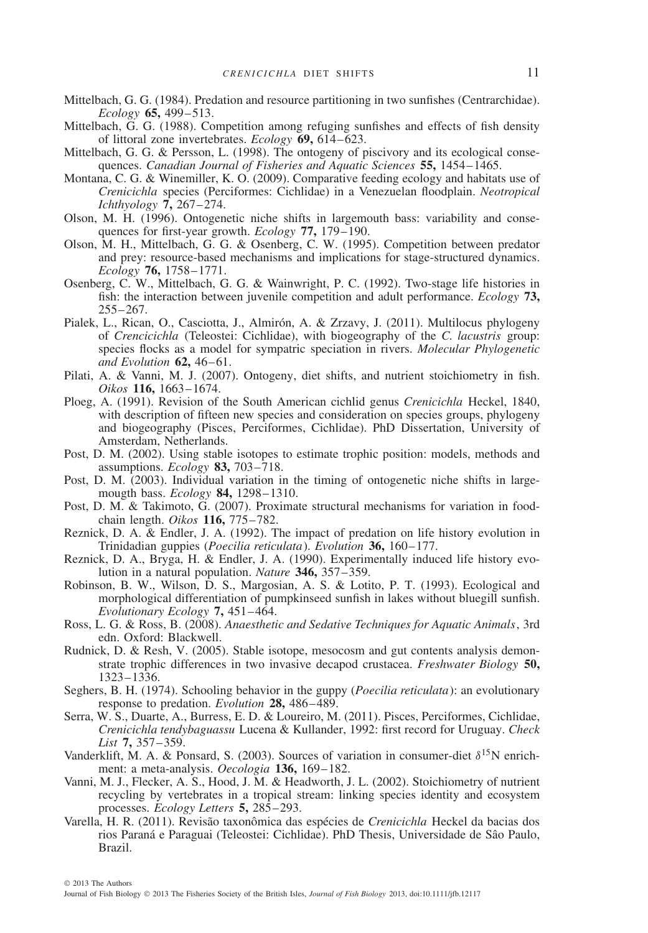- Mittelbach, G. G. (1984). Predation and resource partitioning in two sunfishes (Centrarchidae). *Ecology* **65,** 499–513.
- Mittelbach, G. G. (1988). Competition among refuging sunfishes and effects of fish density of littoral zone invertebrates. *Ecology* **69,** 614–623.
- Mittelbach, G. G. & Persson, L. (1998). The ontogeny of piscivory and its ecological consequences. *Canadian Journal of Fisheries and Aquatic Sciences* **55,** 1454–1465.
- Montana, C. G. & Winemiller, K. O. (2009). Comparative feeding ecology and habitats use of *Crenicichla* species (Perciformes: Cichlidae) in a Venezuelan floodplain. *Neotropical Ichthyology* **7,** 267–274.
- Olson, M. H. (1996). Ontogenetic niche shifts in largemouth bass: variability and consequences for first-year growth. *Ecology* **77,** 179–190.
- Olson, M. H., Mittelbach, G. G. & Osenberg, C. W. (1995). Competition between predator and prey: resource-based mechanisms and implications for stage-structured dynamics. *Ecology* **76,** 1758–1771.
- Osenberg, C. W., Mittelbach, G. G. & Wainwright, P. C. (1992). Two-stage life histories in fish: the interaction between juvenile competition and adult performance. *Ecology* **73,** 255–267.
- Pialek, L., Rican, O., Casciotta, J., Almirón, A. & Zrzavy, J. (2011). Multilocus phylogeny of *Crencicichla* (Teleostei: Cichlidae), with biogeography of the *C. lacustris* group: species flocks as a model for sympatric speciation in rivers. *Molecular Phylogenetic and Evolution* **62,** 46–61.
- Pilati, A. & Vanni, M. J. (2007). Ontogeny, diet shifts, and nutrient stoichiometry in fish. *Oikos* **116,** 1663–1674.
- Ploeg, A. (1991). Revision of the South American cichlid genus *Crenicichla* Heckel, 1840, with description of fifteen new species and consideration on species groups, phylogeny and biogeography (Pisces, Perciformes, Cichlidae). PhD Dissertation, University of Amsterdam, Netherlands.
- Post, D. M. (2002). Using stable isotopes to estimate trophic position: models, methods and assumptions. *Ecology* **83,** 703–718.
- Post, D. M. (2003). Individual variation in the timing of ontogenetic niche shifts in largemougth bass. *Ecology* **84,** 1298–1310.
- Post, D. M. & Takimoto, G. (2007). Proximate structural mechanisms for variation in foodchain length. *Oikos* **116,** 775–782.
- Reznick, D. A. & Endler, J. A. (1992). The impact of predation on life history evolution in Trinidadian guppies (*Poecilia reticulata*). *Evolution* **36,** 160–177.
- Reznick, D. A., Bryga, H. & Endler, J. A. (1990). Experimentally induced life history evolution in a natural population. *Nature* **346,** 357–359.
- Robinson, B. W., Wilson, D. S., Margosian, A. S. & Lotito, P. T. (1993). Ecological and morphological differentiation of pumpkinseed sunfish in lakes without bluegill sunfish. *Evolutionary Ecology* **7,** 451–464.
- Ross, L. G. & Ross, B. (2008). *Anaesthetic and Sedative Techniques for Aquatic Animals*, 3rd edn. Oxford: Blackwell.
- Rudnick, D. & Resh, V. (2005). Stable isotope, mesocosm and gut contents analysis demonstrate trophic differences in two invasive decapod crustacea. *Freshwater Biology* **50,** 1323–1336.
- Seghers, B. H. (1974). Schooling behavior in the guppy (*Poecilia reticulata*): an evolutionary response to predation. *Evolution* **28,** 486–489.
- Serra, W. S., Duarte, A., Burress, E. D. & Loureiro, M. (2011). Pisces, Perciformes, Cichlidae, *Crenicichla tendybaguassu* Lucena & Kullander, 1992: first record for Uruguay. *Check List* **7,** 357–359.
- Vanderklift, M. A. & Ponsard, S. (2003). Sources of variation in consumer-diet *δ*15N enrichment: a meta-analysis. *Oecologia* **136,** 169–182.
- Vanni, M. J., Flecker, A. S., Hood, J. M. & Headworth, J. L. (2002). Stoichiometry of nutrient recycling by vertebrates in a tropical stream: linking species identity and ecosystem processes. *Ecology Letters* **5,** 285–293.
- Varella, H. R. (2011). Revisão taxonômica das espécies de Crenicichla Heckel da bacias dos rios Paraná e Paraguai (Teleostei: Cichlidae). PhD Thesis, Universidade de São Paulo, Brazil.